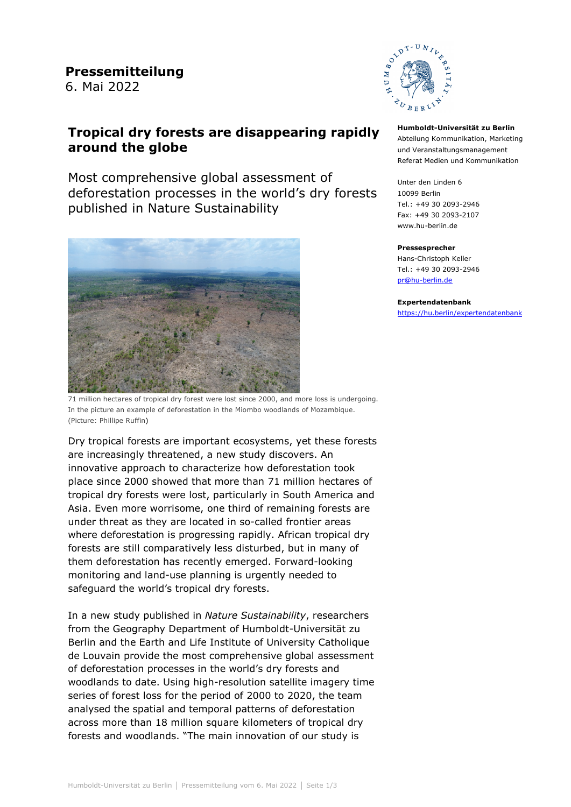# **Tropical dry forests are disappearing rapidly around the globe**

Most comprehensive global assessment of deforestation processes in the world's dry forests published in Nature Sustainability



71 million hectares of tropical dry forest were lost since 2000, and more loss is undergoing. In the picture an example of deforestation in the Miombo woodlands of Mozambique. (Picture: Phillipe Ruffin)

Dry tropical forests are important ecosystems, yet these forests are increasingly threatened, a new study discovers. An innovative approach to characterize how deforestation took place since 2000 showed that more than 71 million hectares of tropical dry forests were lost, particularly in South America and Asia. Even more worrisome, one third of remaining forests are under threat as they are located in so-called frontier areas where deforestation is progressing rapidly. African tropical dry forests are still comparatively less disturbed, but in many of them deforestation has recently emerged. Forward-looking monitoring and land-use planning is urgently needed to safeguard the world's tropical dry forests.

In a new study published in *Nature Sustainability*, researchers from the Geography Department of Humboldt-Universität zu Berlin and the Earth and Life Institute of University Catholique de Louvain provide the most comprehensive global assessment of deforestation processes in the world's dry forests and woodlands to date. Using high-resolution satellite imagery time series of forest loss for the period of 2000 to 2020, the team analysed the spatial and temporal patterns of deforestation across more than 18 million square kilometers of tropical dry forests and woodlands. "The main innovation of our study is



#### **Humboldt-Universität zu Berlin** Abteilung Kommunikation, Marketing und Veranstaltungsmanagement Referat Medien und Kommunikation

Unter den Linden 6 10099 Berlin Tel.: +49 30 2093-2946 Fax: +49 30 2093-2107 [www.hu-berlin.de](http://www.hu-berlin.de/)

#### **Pressesprecher**

Hans-Christoph Keller Tel.: +49 30 2093-2946 [pr@hu-berlin.de](mailto:pr@hu-berlin.de)

#### **Expertendatenbank**

<https://hu.berlin/expertendatenbank>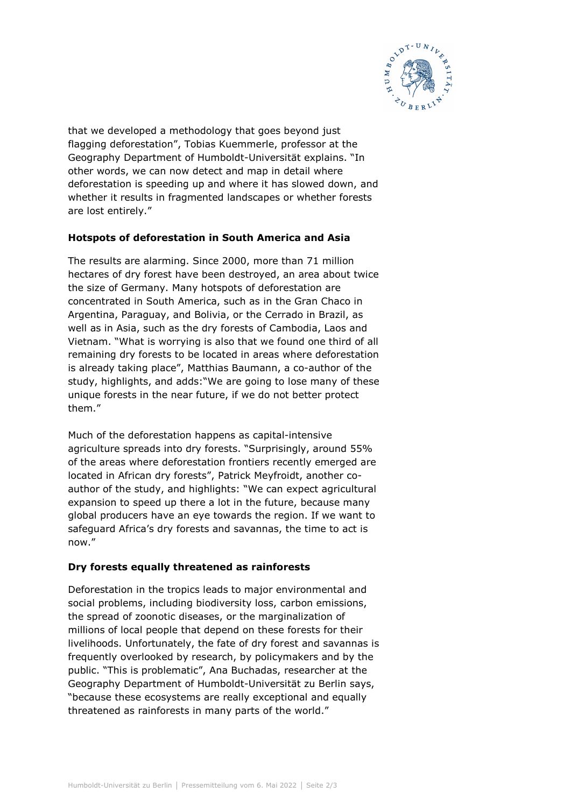

that we developed a methodology that goes beyond just flagging deforestation", Tobias Kuemmerle, professor at the Geography Department of Humboldt-Universität explains. "In other words, we can now detect and map in detail where deforestation is speeding up and where it has slowed down, and whether it results in fragmented landscapes or whether forests are lost entirely."

## **Hotspots of deforestation in South America and Asia**

The results are alarming. Since 2000, more than 71 million hectares of dry forest have been destroyed, an area about twice the size of Germany. Many hotspots of deforestation are concentrated in South America, such as in the Gran Chaco in Argentina, Paraguay, and Bolivia, or the Cerrado in Brazil, as well as in Asia, such as the dry forests of Cambodia, Laos and Vietnam. "What is worrying is also that we found one third of all remaining dry forests to be located in areas where deforestation is already taking place", Matthias Baumann, a co-author of the study, highlights, and adds:"We are going to lose many of these unique forests in the near future, if we do not better protect them."

Much of the deforestation happens as capital-intensive agriculture spreads into dry forests. "Surprisingly, around 55% of the areas where deforestation frontiers recently emerged are located in African dry forests", Patrick Meyfroidt, another coauthor of the study, and highlights: "We can expect agricultural expansion to speed up there a lot in the future, because many global producers have an eye towards the region. If we want to safeguard Africa's dry forests and savannas, the time to act is now."

## **Dry forests equally threatened as rainforests**

Deforestation in the tropics leads to major environmental and social problems, including biodiversity loss, carbon emissions, the spread of zoonotic diseases, or the marginalization of millions of local people that depend on these forests for their livelihoods. Unfortunately, the fate of dry forest and savannas is frequently overlooked by research, by policymakers and by the public. "This is problematic", Ana Buchadas, researcher at the Geography Department of Humboldt-Universität zu Berlin says, "because these ecosystems are really exceptional and equally threatened as rainforests in many parts of the world."